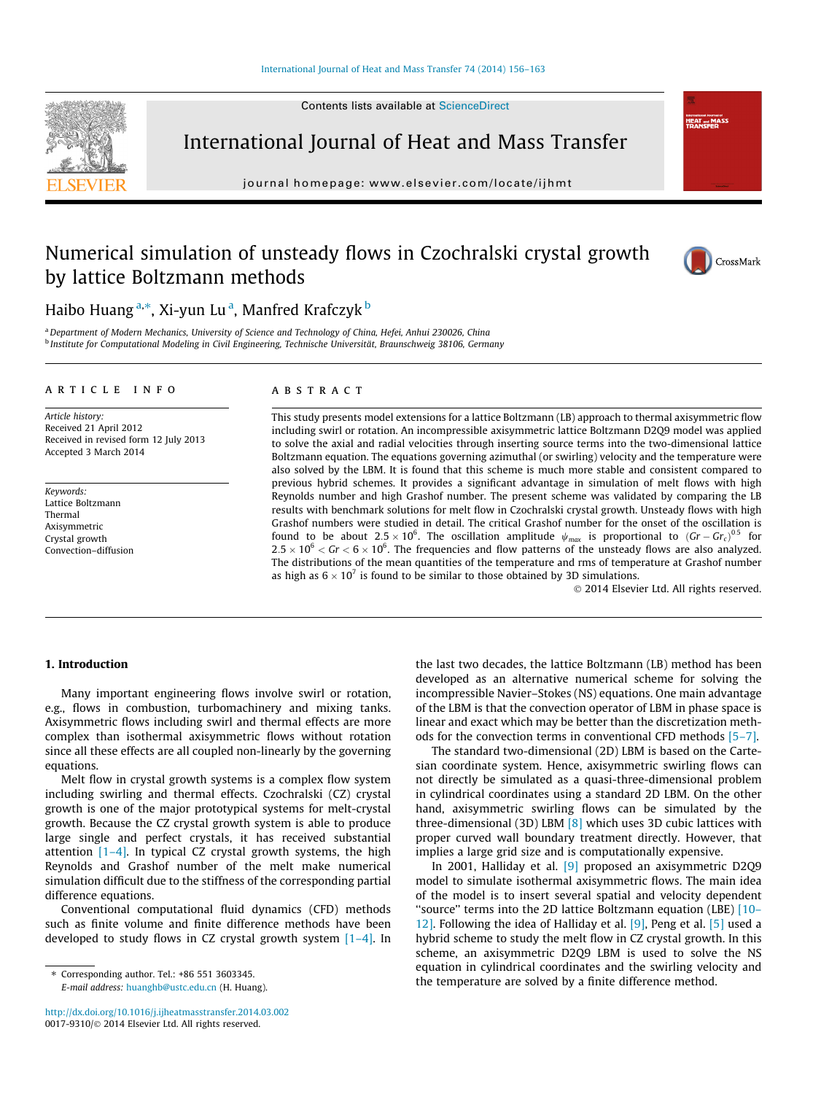Contents lists available at [ScienceDirect](http://www.sciencedirect.com/science/journal/00179310)



International Journal of Heat and Mass Transfer

journal homepage: [www.elsevier.com/locate/ijhmt](http://www.elsevier.com/locate/ijhmt)



**Informational Journal**<br>HEAT and M<br>TDANCEEE

# Numerical simulation of unsteady flows in Czochralski crystal growth by lattice Boltzmann methods



Haibo Huang <sup>a,</sup>\*, Xi-yun Lu <sup>a</sup>, Manfred Krafczyk <sup>b</sup>

a Department of Modern Mechanics, University of Science and Technology of China, Hefei, Anhui 230026, China <sup>b</sup> Institute for Computational Modeling in Civil Engineering, Technische Universität, Braunschweig 38106, Germany

#### article info

Article history: Received 21 April 2012 Received in revised form 12 July 2013 Accepted 3 March 2014

Keywords: Lattice Boltzmann Thermal Axisymmetric Crystal growth Convection–diffusion

### ABSTRACT

This study presents model extensions for a lattice Boltzmann (LB) approach to thermal axisymmetric flow including swirl or rotation. An incompressible axisymmetric lattice Boltzmann D2Q9 model was applied to solve the axial and radial velocities through inserting source terms into the two-dimensional lattice Boltzmann equation. The equations governing azimuthal (or swirling) velocity and the temperature were also solved by the LBM. It is found that this scheme is much more stable and consistent compared to previous hybrid schemes. It provides a significant advantage in simulation of melt flows with high Reynolds number and high Grashof number. The present scheme was validated by comparing the LB results with benchmark solutions for melt flow in Czochralski crystal growth. Unsteady flows with high Grashof numbers were studied in detail. The critical Grashof number for the onset of the oscillation is found to be about 2.5  $\times$  10<sup>6</sup>. The oscillation amplitude  $\psi_{max}$  is proportional to  $(Gr - Gr_c)^{0.5}$  for  $2.5 \times 10^6 <$  Gr  $< 6 \times 10^6$ . The frequencies and flow patterns of the unsteady flows are also analyzed. The distributions of the mean quantities of the temperature and rms of temperature at Grashof number as high as  $6 \times 10^7$  is found to be similar to those obtained by 3D simulations.

- 2014 Elsevier Ltd. All rights reserved.

# 1. Introduction

Many important engineering flows involve swirl or rotation, e.g., flows in combustion, turbomachinery and mixing tanks. Axisymmetric flows including swirl and thermal effects are more complex than isothermal axisymmetric flows without rotation since all these effects are all coupled non-linearly by the governing equations.

Melt flow in crystal growth systems is a complex flow system including swirling and thermal effects. Czochralski (CZ) crystal growth is one of the major prototypical systems for melt-crystal growth. Because the CZ crystal growth system is able to produce large single and perfect crystals, it has received substantial attention  $[1-4]$ . In typical CZ crystal growth systems, the high Reynolds and Grashof number of the melt make numerical simulation difficult due to the stiffness of the corresponding partial difference equations.

Conventional computational fluid dynamics (CFD) methods such as finite volume and finite difference methods have been developed to study flows in CZ crystal growth system  $[1-4]$ . In

<http://dx.doi.org/10.1016/j.ijheatmasstransfer.2014.03.002> 0017-9310/© 2014 Elsevier Ltd. All rights reserved.

the last two decades, the lattice Boltzmann (LB) method has been developed as an alternative numerical scheme for solving the incompressible Navier–Stokes (NS) equations. One main advantage of the LBM is that the convection operator of LBM in phase space is linear and exact which may be better than the discretization methods for the convection terms in conventional CFD methods [\[5–7\].](#page-6-0)

The standard two-dimensional (2D) LBM is based on the Cartesian coordinate system. Hence, axisymmetric swirling flows can not directly be simulated as a quasi-three-dimensional problem in cylindrical coordinates using a standard 2D LBM. On the other hand, axisymmetric swirling flows can be simulated by the three-dimensional (3D) LBM  $[8]$  which uses 3D cubic lattices with proper curved wall boundary treatment directly. However, that implies a large grid size and is computationally expensive.

In 2001, Halliday et al. [\[9\]](#page-6-0) proposed an axisymmetric D2Q9 model to simulate isothermal axisymmetric flows. The main idea of the model is to insert several spatial and velocity dependent ''source'' terms into the 2D lattice Boltzmann equation (LBE) [\[10–](#page-6-0) [12\]](#page-6-0). Following the idea of Halliday et al. [\[9\]](#page-6-0), Peng et al. [\[5\]](#page-6-0) used a hybrid scheme to study the melt flow in CZ crystal growth. In this scheme, an axisymmetric D2Q9 LBM is used to solve the NS equation in cylindrical coordinates and the swirling velocity and the temperature are solved by a finite difference method.

<sup>⇑</sup> Corresponding author. Tel.: +86 551 3603345. E-mail address: [huanghb@ustc.edu.cn](mailto:huanghb@ustc.edu.cn) (H. Huang).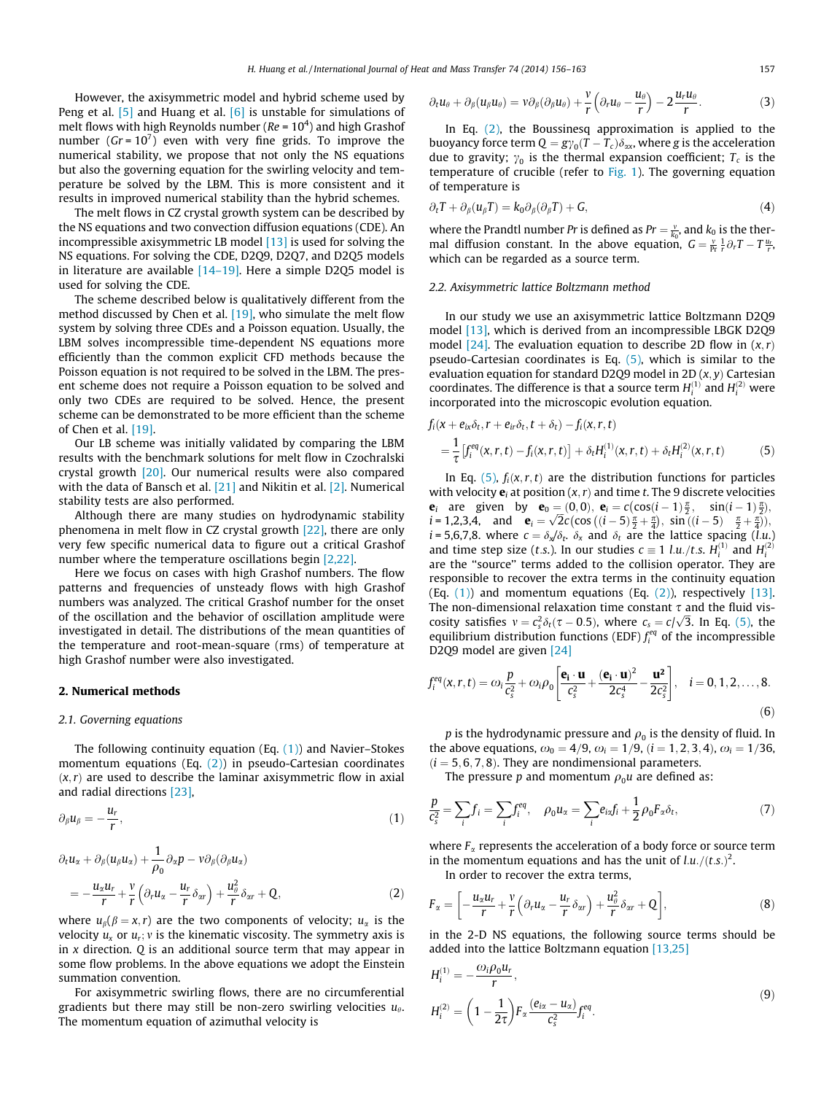<span id="page-1-0"></span>However, the axisymmetric model and hybrid scheme used by Peng et al. [\[5\]](#page-6-0) and Huang et al. [\[6\]](#page-6-0) is unstable for simulations of melt flows with high Reynolds number ( $Re = 10<sup>4</sup>$ ) and high Grashof number ( $Gr = 10^7$ ) even with very fine grids. To improve the numerical stability, we propose that not only the NS equations but also the governing equation for the swirling velocity and temperature be solved by the LBM. This is more consistent and it results in improved numerical stability than the hybrid schemes.

The melt flows in CZ crystal growth system can be described by the NS equations and two convection diffusion equations (CDE). An incompressible axisymmetric LB model [\[13\]](#page-6-0) is used for solving the NS equations. For solving the CDE, D2Q9, D2Q7, and D2Q5 models in literature are available [\[14–19\].](#page-6-0) Here a simple D2Q5 model is used for solving the CDE.

The scheme described below is qualitatively different from the method discussed by Chen et al. [\[19\]](#page-6-0), who simulate the melt flow system by solving three CDEs and a Poisson equation. Usually, the LBM solves incompressible time-dependent NS equations more efficiently than the common explicit CFD methods because the Poisson equation is not required to be solved in the LBM. The present scheme does not require a Poisson equation to be solved and only two CDEs are required to be solved. Hence, the present scheme can be demonstrated to be more efficient than the scheme of Chen et al. [\[19\]](#page-6-0).

Our LB scheme was initially validated by comparing the LBM results with the benchmark solutions for melt flow in Czochralski crystal growth [\[20\]](#page-7-0). Our numerical results were also compared with the data of Bansch et al. [\[21\]](#page-7-0) and Nikitin et al. [\[2\].](#page-6-0) Numerical stability tests are also performed.

Although there are many studies on hydrodynamic stability phenomena in melt flow in CZ crystal growth [\[22\]](#page-7-0), there are only very few specific numerical data to figure out a critical Grashof number where the temperature oscillations begin [\[2,22\].](#page-6-0)

Here we focus on cases with high Grashof numbers. The flow patterns and frequencies of unsteady flows with high Grashof numbers was analyzed. The critical Grashof number for the onset of the oscillation and the behavior of oscillation amplitude were investigated in detail. The distributions of the mean quantities of the temperature and root-mean-square (rms) of temperature at high Grashof number were also investigated.

#### 2. Numerical methods

#### 2.1. Governing equations

The following continuity equation (Eq.  $(1)$ ) and Navier–Stokes momentum equations (Eq.  $(2)$ ) in pseudo-Cartesian coordinates  $(x, r)$  are used to describe the laminar axisymmetric flow in axial and radial directions [\[23\]](#page-7-0),

$$
\partial_{\beta}u_{\beta}=-\frac{u_r}{r},\qquad(1)
$$

$$
\partial_t u_x + \partial_\beta (u_\beta u_x) + \frac{1}{\rho_0} \partial_x p - v \partial_\beta (\partial_\beta u_x) \n= -\frac{u_x u_r}{r} + \frac{v}{r} \left( \partial_r u_x - \frac{u_r}{r} \delta_{xx} \right) + \frac{u_\theta^2}{r} \delta_{xx} + Q,
$$
\n(2)

where  $u_{\beta}(\beta = x, r)$  are the two components of velocity;  $u_{\alpha}$  is the velocity  $u_x$  or  $u_r$ ; v is the kinematic viscosity. The symmetry axis is in  $x$  direction.  $Q$  is an additional source term that may appear in some flow problems. In the above equations we adopt the Einstein summation convention.

For axisymmetric swirling flows, there are no circumferential gradients but there may still be non-zero swirling velocities  $u_{\theta}$ . The momentum equation of azimuthal velocity is

$$
\partial_t u_\theta + \partial_\beta (u_\beta u_\theta) = v \partial_\beta (\partial_\beta u_\theta) + \frac{v}{r} \left( \partial_r u_\theta - \frac{u_\theta}{r} \right) - 2 \frac{u_r u_\theta}{r}.
$$
 (3)

In Eq.  $(2)$ , the Boussinesq approximation is applied to the buoyancy force term  $Q = g\gamma_0(T - T_c)\delta_{\alpha x}$ , where g is the acceleration due to gravity;  $\gamma_0$  is the thermal expansion coefficient;  $T_c$  is the temperature of crucible (refer to [Fig. 1\)](#page-2-0). The governing equation of temperature is

$$
\partial_t T + \partial_\beta (u_\beta T) = k_0 \partial_\beta (\partial_\beta T) + G,\tag{4}
$$

where the Prandtl number Pr is defined as  $Pr = \frac{v}{k_0}$ , and  $k_0$  is the thermal diffusion constant. In the above equation,  $G = \frac{v}{Pr} \frac{1}{r} \partial_r T - T \frac{u_r}{r}$ which can be regarded as a source term.

#### 2.2. Axisymmetric lattice Boltzmann method

In our study we use an axisymmetric lattice Boltzmann D2Q9 model [\[13\],](#page-6-0) which is derived from an incompressible LBGK D2Q9 model [\[24\].](#page-7-0) The evaluation equation to describe 2D flow in  $(x, r)$ pseudo-Cartesian coordinates is Eq.  $(5)$ , which is similar to the evaluation equation for standard D2Q9 model in 2D  $(x, y)$  Cartesian coordinates. The difference is that a source term  $H_i^{(1)}$  and  $H_i^{(2)}$  were incorporated into the microscopic evolution equation.

$$
f_i(x + e_{ix}\delta_t, r + e_{ir}\delta_t, t + \delta_t) - f_i(x, r, t)
$$
  
=  $\frac{1}{\tau} [f_i^{eq}(x, r, t) - f_i(x, r, t)] + \delta_t H_i^{(1)}(x, r, t) + \delta_t H_i^{(2)}(x, r, t)$  (5)

In Eq. (5),  $f_i(x, r, t)$  are the distribution functions for particles with velocity  $e_i$  at position  $(x, r)$  and time t. The 9 discrete velocities e<sub>i</sub> are given by  $\mathbf{e}_0 = (0,0)$ ,  $\mathbf{e}_i = c(\cos(i-1)\frac{\pi}{2}, \sin(i-1)\frac{\pi}{2})$  $\mathbf{e}_i$  are given by  $\mathbf{e}_0 = (0, 0)$ ,  $\mathbf{e}_i = c(\cos(i - 1)\frac{\pi}{2})$ ,  $\sin((i - 1)\frac{\pi}{2})$ ,  $i = 1, 2, 3, 4$ , and  $\mathbf{e}_i = \sqrt{2}c(\cos((i - 5)\frac{\pi}{2} + \frac{\pi}{4}))$ ,  $\sin((i - 5)\frac{\pi}{2} + \frac{\pi}{4}))$ .  $i = 5,6,7,8$ . where  $c = \delta_x/\delta_t$ .  $\delta_x$  and  $\delta_t$  are the lattice spacing (l.u.) and time step size (*t.s.*). In our studies  $c \equiv 1$  l.u./*t.s.*  $H_i^{(1)}$  and  $H_i^{(2)}$ are the ''source'' terms added to the collision operator. They are responsible to recover the extra terms in the continuity equation (Eq.  $(1)$ ) and momentum equations (Eq.  $(2)$ ), respectively [\[13\].](#page-6-0) The non-dimensional relaxation time constant  $\tau$  and the fluid viscosity satisfies  $v = c_s^2 \delta_t(\tau - 0.5)$ , where  $c_s = c/\sqrt{3}$ . In Eq. (5), the equilibrium distribution functions (EDF)  $f_i^{eq}$  of the incompressible D2Q9 model are given [\[24\]](#page-7-0)

$$
f_i^{eq}(x,r,t) = \omega_i \frac{p}{c_s^2} + \omega_i \rho_0 \left[ \frac{\mathbf{e}_i \cdot \mathbf{u}}{c_s^2} + \frac{(\mathbf{e}_i \cdot \mathbf{u})^2}{2c_s^4} - \frac{\mathbf{u}^2}{2c_s^2} \right], \quad i = 0, 1, 2, \dots, 8.
$$
\n
$$
(6)
$$

p is the hydrodynamic pressure and  $\rho_0$  is the density of fluid. In the above equations,  $\omega_0 = 4/9$ ,  $\omega_i = 1/9$ ,  $(i = 1, 2, 3, 4)$ ,  $\omega_i = 1/36$ ,  $(i = 5, 6, 7, 8)$ . They are nondimensional parameters.

The pressure p and momentum  $\rho_0 u$  are defined as:

$$
\frac{p}{c_s^2} = \sum_i f_i = \sum_i f_i^{eq}, \quad \rho_0 u_x = \sum_i e_{i\alpha} f_i + \frac{1}{2} \rho_0 F_{\alpha} \delta_t,\tag{7}
$$

where  $F_{\alpha}$  represents the acceleration of a body force or source term in the momentum equations and has the unit of  $\ell.u./(t.s.)^2$ .

In order to recover the extra terms,

$$
F_{\alpha} = \left[ -\frac{u_{\alpha}u_r}{r} + \frac{\nu}{r} \left( \partial_r u_{\alpha} - \frac{u_r}{r} \delta_{\alpha r} \right) + \frac{u_{\theta}^2}{r} \delta_{\alpha r} + Q \right],
$$
\n(8)

in the 2-D NS equations, the following source terms should be added into the lattice Boltzmann equation [\[13,25\]](#page-6-0)

$$
H_i^{(1)} = -\frac{\omega_i \rho_0 u_r}{r},
$$
  
\n
$$
H_i^{(2)} = \left(1 - \frac{1}{2\tau}\right) F_\alpha \frac{(e_{ix} - u_\alpha)}{c_s^2} f_i^{eq}.
$$
\n(9)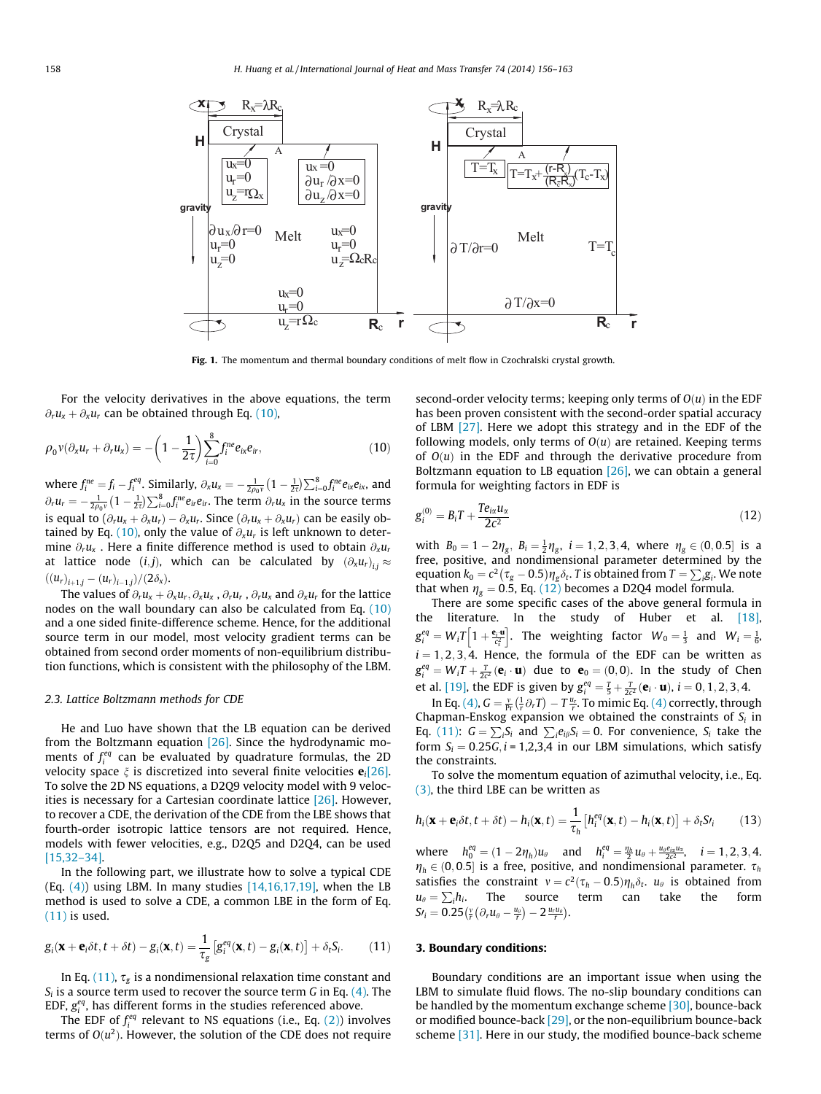<span id="page-2-0"></span>

Fig. 1. The momentum and thermal boundary conditions of melt flow in Czochralski crystal growth.

For the velocity derivatives in the above equations, the term  $\partial_r u_x + \partial_x u_r$  can be obtained through Eq. (10),

$$
\rho_0 v(\partial_x u_r + \partial_r u_x) = -\left(1 - \frac{1}{2\tau}\right) \sum_{i=0}^8 f_i^{ne} e_{ix} e_{ir}, \qquad (10)
$$

where  $f_i^{ne} = f_i - f_i^{eq}$ . Similarly,  $\partial_x u_x = -\frac{1}{2\rho_0 v} \left(1 - \frac{1}{2\tau}\right) \sum_{i=0}^8 f_i^{ne} e_{ix} e_{ix}$ , and  $\partial_r u_r = -\frac{1}{2\rho_0 v} \left(1 - \frac{1}{2\tau}\right) \sum_{i=0}^8 f_i^{ne} e_{ir} e_{ir}$ . The term  $\partial_r u_x$  in the source terms is equal to  $(\partial_r u_x + \partial_x u_r) - \partial_x u_r$ . Since  $(\partial_r u_x + \partial_x u_r)$  can be easily obtained by Eq. (10), only the value of  $\partial_{x}u_{r}$  is left unknown to determine  $\partial_r u_x$ . Here a finite difference method is used to obtain  $\partial_x u_r$ at lattice node (i,j), which can be calculated by  $(\partial_x u_r)_{ij} \approx$  $((u_r)_{i+1,j} - (u_r)_{i-1,j})/(2\delta_x).$ 

The values of  $\partial_r u_x + \partial_x u_r$ ,  $\partial_x u_x$ ,  $\partial_r u_r$ ,  $\partial_r u_x$  and  $\partial_x u_r$  for the lattice nodes on the wall boundary can also be calculated from Eq. (10) and a one sided finite-difference scheme. Hence, for the additional source term in our model, most velocity gradient terms can be obtained from second order moments of non-equilibrium distribution functions, which is consistent with the philosophy of the LBM.

#### 2.3. Lattice Boltzmann methods for CDE

He and Luo have shown that the LB equation can be derived from the Boltzmann equation [\[26\]](#page-7-0). Since the hydrodynamic moments of  $f_i^{eq}$  can be evaluated by quadrature formulas, the 2D velocity space  $\xi$  is discretized into several finite velocities  $\mathbf{e}_i[26]$ . To solve the 2D NS equations, a D2Q9 velocity model with 9 velocities is necessary for a Cartesian coordinate lattice  $[26]$ . However, to recover a CDE, the derivation of the CDE from the LBE shows that fourth-order isotropic lattice tensors are not required. Hence, models with fewer velocities, e.g., D2Q5 and D2Q4, can be used [\[15,32–34\].](#page-6-0)

In the following part, we illustrate how to solve a typical CDE (Eq.  $(4)$ ) using LBM. In many studies  $[14,16,17,19]$ , when the LB method is used to solve a CDE, a common LBE in the form of Eq. (11) is used.

$$
g_i(\mathbf{x} + \mathbf{e}_i \delta t, t + \delta t) - g_i(\mathbf{x}, t) = \frac{1}{\tau_g} \left[ g_i^{eq}(\mathbf{x}, t) - g_i(\mathbf{x}, t) \right] + \delta_t S_i.
$$
 (11)

In Eq. (11),  $\tau_{\rm g}$  is a nondimensional relaxation time constant and  $S_i$  is a source term used to recover the source term G in Eq. [\(4\).](#page-1-0) The EDF,  $g_i^{eq}$ , has different forms in the studies referenced above.

The EDF of  $f_i^{eq}$  relevant to NS equations (i.e., Eq. [\(2\)](#page-1-0)) involves terms of  $O(u^2)$ . However, the solution of the CDE does not require second-order velocity terms; keeping only terms of  $O(u)$  in the EDF has been proven consistent with the second-order spatial accuracy of LBM [\[27\]](#page-7-0). Here we adopt this strategy and in the EDF of the following models, only terms of  $O(u)$  are retained. Keeping terms of  $O(u)$  in the EDF and through the derivative procedure from Boltzmann equation to LB equation  $[26]$ , we can obtain a general formula for weighting factors in EDF is

$$
g_i^{(0)} = B_i T + \frac{T e_{ix} u_x}{2c^2}
$$
 (12)

with  $B_0 = 1 - 2\eta_g$ ,  $B_i = \frac{1}{2}\eta_g$ ,  $i = 1, 2, 3, 4$ , where  $\eta_g \in (0, 0.5]$  is a free, positive, and nondimensional parameter determined by the equation  $k_0 = c^2 (\tau_g - 0.5) \eta_g \delta_t$ . T is obtained from  $T = \sum_i g_i$ . We note that when  $\eta_g = 0.5$ , Eq. (12) becomes a D2Q4 model formula.

There are some specific cases of the above general formula in the literature. In the study of Huber et al. [\[18\],](#page-6-0)  $g_i^{eq} = W_i T \left[ 1 + \frac{\mathbf{e}_i \cdot \mathbf{u}}{\epsilon_s^2} \right]$ . The weighting factor  $W_0 = \frac{1}{3}$  and  $W_i = \frac{1}{6}$ .  $i = 1, 2, 3, 4$ . Hence, the formula of the EDF can be written as  $g_i^{eq} = W_i T + \frac{T}{2c^2} (\mathbf{e}_i \cdot \mathbf{u})$  due to  $\mathbf{e}_0 = (0,0)$ . In the study of Chen et al. [\[19\],](#page-6-0) the EDF is given by  $g_i^{eq} = \frac{T}{5} + \frac{T}{2c^2}(\mathbf{e}_i \cdot \mathbf{u}), i = 0, 1, 2, 3, 4$ .

In Eq. [\(4\),](#page-1-0)  $G = \frac{v}{Pr}(\frac{1}{r}\partial_r T) - T\frac{u_r}{r}$ . To mimic Eq. [\(4\)](#page-1-0) correctly, through Chapman-Enskog expansion we obtained the constraints of  $S_i$  in Eq. (11):  $G = \sum_i S_i$  and  $\sum_i e_{ij} S_i = 0$ . For convenience,  $S_i$  take the form  $S_i = 0.25G$ ,  $i = 1,2,3,4$  in our LBM simulations, which satisfy the constraints.

To solve the momentum equation of azimuthal velocity, i.e., Eq. [\(3\)](#page-1-0), the third LBE can be written as

$$
h_i(\mathbf{x} + \mathbf{e}_i \delta t, t + \delta t) - h_i(\mathbf{x}, t) = \frac{1}{\tau_h} \left[ h_i^{eq}(\mathbf{x}, t) - h_i(\mathbf{x}, t) \right] + \delta_t S_i \tag{13}
$$

where  $h_0^{eq} = (1 - 2\eta_h)u_\theta$  and  $h_i^{eq} = \frac{\eta_h}{2}u_\theta + \frac{u_\theta e_{ix}u_x}{2c^2}$ ,  $i = 1, 2, 3, 4$ .  $\eta_h \in (0, 0.5]$  is a free, positive, and nondimensional parameter.  $\tau_h$ satisfies the constraint  $v = c^2(\tau_h - 0.5)\eta_h \delta_t$ .  $u_\theta$  is obtained from  $u_{\theta} = \sum_i h_i$ . The source term can take the form  $St_i = 0.25 \left(\frac{v}{r} \left(\partial_r u_\theta - \frac{u_\theta}{r}\right) - 2 \frac{u_r u_\theta}{r}\right).$ 

#### 3. Boundary conditions:

Boundary conditions are an important issue when using the LBM to simulate fluid flows. The no-slip boundary conditions can be handled by the momentum exchange scheme [\[30\],](#page-7-0) bounce-back or modified bounce-back [\[29\],](#page-7-0) or the non-equilibrium bounce-back scheme [\[31\]](#page-7-0). Here in our study, the modified bounce-back scheme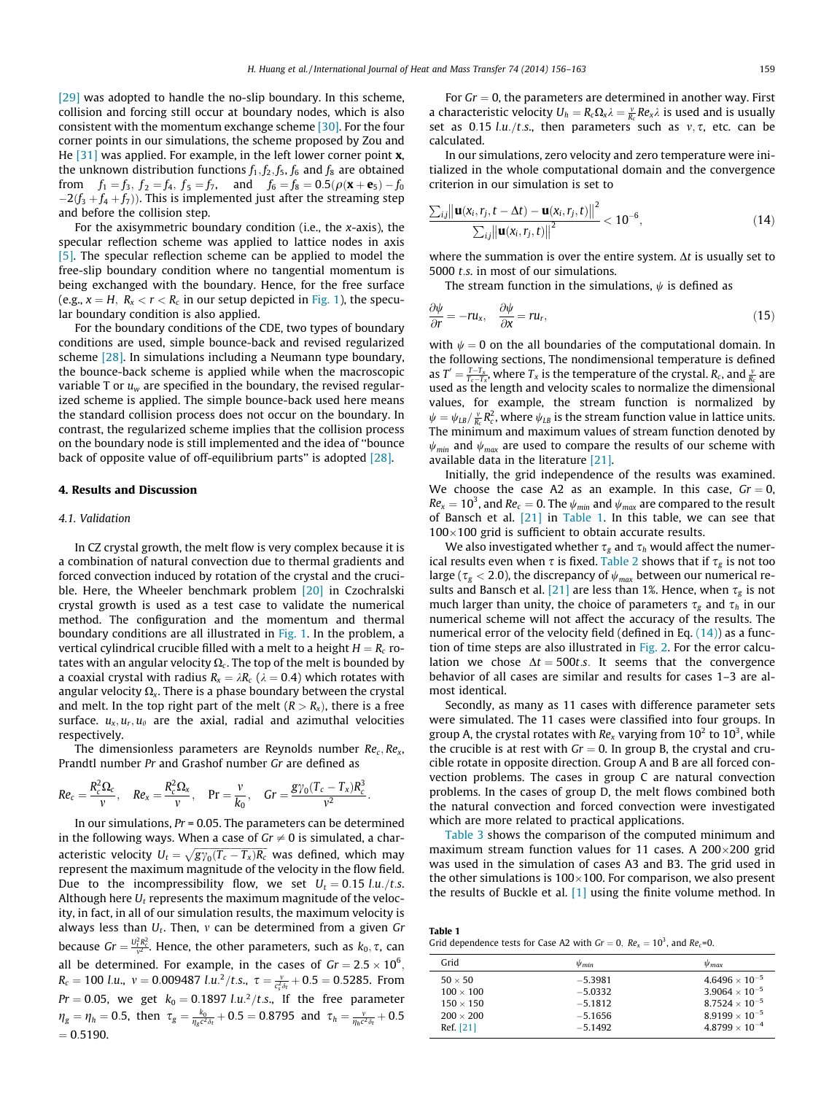[\[29\]](#page-7-0) was adopted to handle the no-slip boundary. In this scheme, collision and forcing still occur at boundary nodes, which is also consistent with the momentum exchange scheme [\[30\]](#page-7-0). For the four corner points in our simulations, the scheme proposed by Zou and He  $[31]$  was applied. For example, in the left lower corner point **x**, the unknown distribution functions  $f_1, f_2, f_5, f_6$  and  $f_8$  are obtained from  $f_1 = f_3$ ,  $f_2 = f_4$ ,  $f_5 = f_7$ , and  $f_6 = f_8 = 0.5(\rho(\mathbf{x} + \mathbf{e}_5) - f_0)$  $-2(f_3 + f_4 + f_7)$ ). This is implemented just after the streaming step and before the collision step.

For the axisymmetric boundary condition (i.e., the  $x$ -axis), the specular reflection scheme was applied to lattice nodes in axis [\[5\]](#page-6-0). The specular reflection scheme can be applied to model the free-slip boundary condition where no tangential momentum is being exchanged with the boundary. Hence, for the free surface (e.g.,  $x = H$ ,  $R_x < r < R_c$  in our setup depicted in [Fig. 1\)](#page-2-0), the specular boundary condition is also applied.

For the boundary conditions of the CDE, two types of boundary conditions are used, simple bounce-back and revised regularized scheme [\[28\]](#page-7-0). In simulations including a Neumann type boundary, the bounce-back scheme is applied while when the macroscopic variable T or  $u_w$  are specified in the boundary, the revised regularized scheme is applied. The simple bounce-back used here means the standard collision process does not occur on the boundary. In contrast, the regularized scheme implies that the collision process on the boundary node is still implemented and the idea of ''bounce back of opposite value of off-equilibrium parts'' is adopted [\[28\]](#page-7-0).

### 4. Results and Discussion

#### 4.1. Validation

In CZ crystal growth, the melt flow is very complex because it is a combination of natural convection due to thermal gradients and forced convection induced by rotation of the crystal and the cruci-ble. Here, the Wheeler benchmark problem [\[20\]](#page-7-0) in Czochralski crystal growth is used as a test case to validate the numerical method. The configuration and the momentum and thermal boundary conditions are all illustrated in [Fig. 1.](#page-2-0) In the problem, a vertical cylindrical crucible filled with a melt to a height  $H = R_c$  rotates with an angular velocity  $\Omega_c$ . The top of the melt is bounded by a coaxial crystal with radius  $R_x = \lambda R_c$  ( $\lambda = 0.4$ ) which rotates with angular velocity  $\Omega_{x}$ . There is a phase boundary between the crystal and melt. In the top right part of the melt  $(R > R<sub>x</sub>)$ , there is a free surface.  $u_x, u_y, u_\theta$  are the axial, radial and azimuthal velocities respectively.

The dimensionless parameters are Reynolds number  $Re<sub>c</sub>$ ,  $Re<sub>x</sub>$ , Prandtl number Pr and Grashof number Gr are defined as

$$
Re_c = \frac{R_c^2 \Omega_c}{v}
$$
,  $Re_x = \frac{R_c^2 \Omega_x}{v}$ ,  $Pr = \frac{v}{k_0}$ ,  $Gr = \frac{g\gamma_0(T_c - T_x)R_c^3}{v^2}$ .

In our simulations,  $Pr = 0.05$ . The parameters can be determined in the following ways. When a case of  $Gr \neq 0$  is simulated, a characteristic velocity  $\breve{U}_t = \sqrt{g\gamma_0(T_c-T_x)R_c}$  was defined, which may represent the maximum magnitude of the velocity in the flow field. Due to the incompressibility flow, we set  $U_t = 0.15$  l.u./t.s. Although here  $U_t$  represents the maximum magnitude of the velocity, in fact, in all of our simulation results, the maximum velocity is always less than  $U_t$ . Then, v can be determined from a given Gr because  $Gr = \frac{U_t^2 R_c^2}{v^2}$ . Hence, the other parameters, such as  $k_0, \tau$ , can all be determined. For example, in the cases of  $Gr = 2.5 \times 10^6,$  $R_c = 100$  l.u.,  $v = 0.009487$  l.u.<sup>2</sup>/t.s.,  $\tau = \frac{v}{c_s^2 \delta_t} + 0.5 = 0.5285$ . From  $Pr = 0.05$ , we get  $k_0 = 0.1897 \; l.u.^2/t.s$ ., If the free parameter  $\eta_g=\eta_h=0.5$ , then  $\tau_g=\frac{k_0}{\eta_g c^2\delta_t}+0.5=0.8795$  and  $\tau_h=\frac{v}{\eta_h c^2\delta_t}+0.5$  $= 0.5190.$ 

For  $Gr = 0$ , the parameters are determined in another way. First a characteristic velocity  $U_h = R_c \Omega_x \lambda = \frac{v}{R_c} R e_x \lambda$  is used and is usually set as 0.15 l.u./t.s., then parameters such as  $v, \tau$ , etc. can be calculated.

In our simulations, zero velocity and zero temperature were initialized in the whole computational domain and the convergence criterion in our simulation is set to

$$
\frac{\sum_{i,j} \left\| \mathbf{u}(x_i, r_j, t - \Delta t) - \mathbf{u}(x_i, r_j, t) \right\|^2}{\sum_{i,j} \left\| \mathbf{u}(x_i, r_j, t) \right\|^2} < 10^{-6}, \tag{14}
$$

where the summation is over the entire system.  $\Delta t$  is usually set to 5000 t.s. in most of our simulations.

The stream function in the simulations,  $\psi$  is defined as

$$
\frac{\partial \psi}{\partial r} = -ru_x, \quad \frac{\partial \psi}{\partial x} = ru_r,
$$
\n(15)

with  $\psi = 0$  on the all boundaries of the computational domain. In the following sections, The nondimensional temperature is defined as  $T' = \frac{T-T_x}{T_c-T_x}$ , where  $T_x$  is the temperature of the crystal.  $R_c$ , and  $\frac{v}{R_c}$  are used as the length and velocity scales to normalize the dimensional values, for example, the stream function is normalized by  $\psi = \psi_{IB}/\frac{v}{R_c}R_c^2$ , where  $\psi_{LB}$  is the stream function value in lattice units. The minimum and maximum values of stream function denoted by  $\psi_{min}$  and  $\psi_{max}$  are used to compare the results of our scheme with available data in the literature [\[21\].](#page-7-0)

Initially, the grid independence of the results was examined. We choose the case A2 as an example. In this case,  $Gr = 0$ ,  $Re_{\rm x} = 10^3$ , and  $Re_{\rm c} = 0$ . The  $\psi_{min}$  and  $\psi_{max}$  are compared to the result of Bansch et al. [\[21\]](#page-7-0) in Table 1. In this table, we can see that  $100\times100$  grid is sufficient to obtain accurate results.

We also investigated whether  $\tau_g$  and  $\tau_h$  would affect the numerical results even when  $\tau$  is fixed. [Table 2](#page-4-0) shows that if  $\tau_{g}$  is not too large ( $\tau_g < 2.0$ ), the discrepancy of  $\psi_{\text{max}}$  between our numerical re-sults and Bansch et al. [\[21\]](#page-7-0) are less than 1%. Hence, when  $\tau_g$  is not much larger than unity, the choice of parameters  $\tau_g$  and  $\tau_h$  in our numerical scheme will not affect the accuracy of the results. The numerical error of the velocity field (defined in Eq. (14)) as a function of time steps are also illustrated in [Fig. 2](#page-4-0). For the error calculation we chose  $\Delta t = 500t$ .s. It seems that the convergence behavior of all cases are similar and results for cases 1–3 are almost identical.

Secondly, as many as 11 cases with difference parameter sets were simulated. The 11 cases were classified into four groups. In group A, the crystal rotates with Re<sub>x</sub> varying from 10<sup>2</sup> to 10<sup>3</sup>, while the crucible is at rest with  $Gr = 0$ . In group B, the crystal and crucible rotate in opposite direction. Group A and B are all forced convection problems. The cases in group C are natural convection problems. In the cases of group D, the melt flows combined both the natural convection and forced convection were investigated which are more related to practical applications.

[Table 3](#page-4-0) shows the comparison of the computed minimum and maximum stream function values for 11 cases. A 200 $\times$ 200 grid was used in the simulation of cases A3 and B3. The grid used in the other simulations is  $100\times100$ . For comparison, we also present the results of Buckle et al. [\[1\]](#page-6-0) using the finite volume method. In

Table 1 Grid dependence tests for Case A2 with  $Gr = 0$ ,  $Re_x = 10^3$ , and  $Re_c = 0$ .

| Grid             | $\psi_{min}$ | $\psi_{max}$            |
|------------------|--------------|-------------------------|
| $50 \times 50$   | $-5.3981$    | $4.6496 \times 10^{-5}$ |
| $100 \times 100$ | $-5.0332$    | $3.9064 \times 10^{-5}$ |
| $150 \times 150$ | $-5.1812$    | $8.7524 \times 10^{-5}$ |
| $200 \times 200$ | $-5.1656$    | $8.9199 \times 10^{-5}$ |
| Ref. [21]        | $-5.1492$    | $4.8799 \times 10^{-4}$ |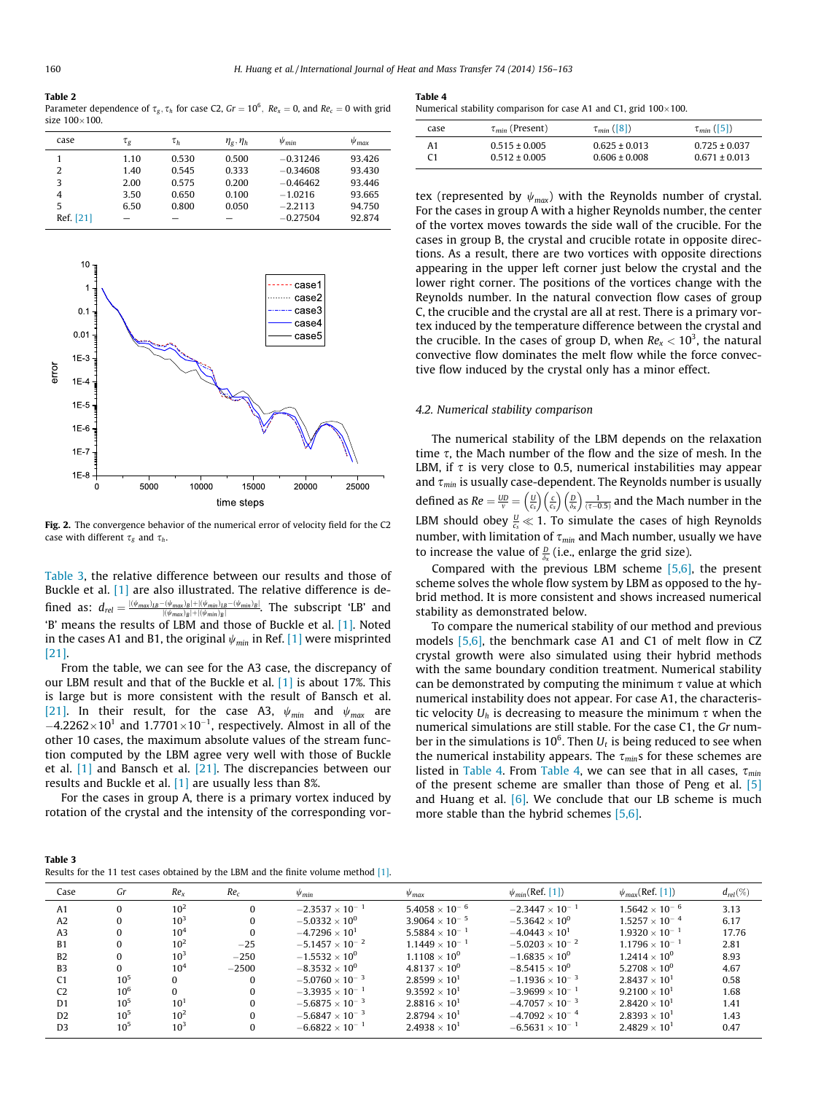#### <span id="page-4-0"></span>Table 2

Parameter dependence of  $\tau_g, \tau_h$  for case C2, Gr  $=10^6,~Re_x=0,$  and  $Re_c=0$  with grid size  $100\times100$ .

| case           | $\tau_g$ | $\tau_h$ | $\eta_{\rm g},\eta_{\rm h}$ | $\psi_{min}$ | $\psi_{\text{max}}$ |
|----------------|----------|----------|-----------------------------|--------------|---------------------|
|                | 1.10     | 0.530    | 0.500                       | $-0.31246$   | 93.426              |
| 2              | 1.40     | 0.545    | 0.333                       | $-0.34608$   | 93.430              |
| 3              | 2.00     | 0.575    | 0.200                       | $-0.46462$   | 93.446              |
| $\overline{4}$ | 3.50     | 0.650    | 0.100                       | $-1.0216$    | 93.665              |
| 5              | 6.50     | 0.800    | 0.050                       | $-2.2113$    | 94.750              |
| Ref. [21]      |          |          |                             | $-0.27504$   | 92.874              |



Fig. 2. The convergence behavior of the numerical error of velocity field for the C2 case with different  $\tau_g$  and  $\tau_h$ .

Table 3, the relative difference between our results and those of Buckle et al. [\[1\]](#page-6-0) are also illustrated. The relative difference is defined as:  $d_{rel} = \frac{|\langle \psi_{max}\rangle_{IB} - \langle \psi_{max}\rangle_B| + |\langle \psi_{min}\rangle_B| - \langle \psi_{min}\rangle_B|}{|\langle \psi_{max}\rangle_B| + |\langle \psi_{min}\rangle_B|}$ . The subscript 'LB' and 'B' means the results of LBM and those of Buckle et al. [\[1\]](#page-6-0). Noted in the cases A1 and B1, the original  $\psi_{min}$  in Ref. [\[1\]](#page-6-0) were misprinted [\[21\]](#page-7-0).

From the table, we can see for the A3 case, the discrepancy of our LBM result and that of the Buckle et al. [\[1\]](#page-6-0) is about 17%. This is large but is more consistent with the result of Bansch et al. [\[21\]](#page-7-0). In their result, for the case A3,  $\psi_{min}$  and  $\psi_{max}$  are  $-4.2262\times10^{1}$  and  $1.7701\times10^{-1}$ , respectively. Almost in all of the other 10 cases, the maximum absolute values of the stream function computed by the LBM agree very well with those of Buckle et al. [\[1\]](#page-6-0) and Bansch et al. [\[21\]](#page-7-0). The discrepancies between our results and Buckle et al. [\[1\]](#page-6-0) are usually less than 8%.

For the cases in group A, there is a primary vortex induced by rotation of the crystal and the intensity of the corresponding vor-

Table 4

|  |  |  | Numerical stability comparison for case A1 and C1, grid $100\times100$ . |  |  |  |  |  |
|--|--|--|--------------------------------------------------------------------------|--|--|--|--|--|
|--|--|--|--------------------------------------------------------------------------|--|--|--|--|--|

| case | $\tau_{min}$ (Present) | $\tau_{min}$ ([8]) | $\tau_{min}([5])$ |
|------|------------------------|--------------------|-------------------|
| A1   | $0.515 \pm 0.005$      | $0.625 \pm 0.013$  | $0.725 \pm 0.037$ |
|      | $0.512 \pm 0.005$      | $0.606 \pm 0.008$  | $0.671 \pm 0.013$ |

tex (represented by  $\psi_{max}$ ) with the Reynolds number of crystal. For the cases in group A with a higher Reynolds number, the center of the vortex moves towards the side wall of the crucible. For the cases in group B, the crystal and crucible rotate in opposite directions. As a result, there are two vortices with opposite directions appearing in the upper left corner just below the crystal and the lower right corner. The positions of the vortices change with the Reynolds number. In the natural convection flow cases of group C, the crucible and the crystal are all at rest. There is a primary vortex induced by the temperature difference between the crystal and the crucible. In the cases of group D, when  $Re_x < 10^3$ , the natural convective flow dominates the melt flow while the force convective flow induced by the crystal only has a minor effect.

#### 4.2. Numerical stability comparison

The numerical stability of the LBM depends on the relaxation time  $\tau$ , the Mach number of the flow and the size of mesh. In the LBM, if  $\tau$  is very close to 0.5, numerical instabilities may appear and  $\tau_{min}$  is usually case-dependent. The Reynolds number is usually defined as  $Re = \frac{UD}{v} = \left(\frac{U}{c_s}\right)$  $\left(\frac{U}{c_s}\right)\left(\frac{c}{c_s}\right)$  $\left(\frac{c}{c_s}\right)\left(\frac{D}{\delta_s}\right)$  $\left(\frac{D}{\delta_x}\right) \frac{1}{(\tau - 0.5)}$  and the Mach number in the LBM should obey  $\frac{U}{c_s} \ll 1$ . To simulate the cases of high Reynolds number, with limitation of  $\tau_{min}$  and Mach number, usually we have to increase the value of  $\frac{D}{\delta x}$  (i.e., enlarge the grid size).

Compared with the previous LBM scheme [\[5,6\],](#page-6-0) the present scheme solves the whole flow system by LBM as opposed to the hybrid method. It is more consistent and shows increased numerical stability as demonstrated below.

To compare the numerical stability of our method and previous models [\[5,6\],](#page-6-0) the benchmark case A1 and C1 of melt flow in CZ crystal growth were also simulated using their hybrid methods with the same boundary condition treatment. Numerical stability can be demonstrated by computing the minimum  $\tau$  value at which numerical instability does not appear. For case A1, the characteristic velocity  $U_h$  is decreasing to measure the minimum  $\tau$  when the numerical simulations are still stable. For the case C1, the Gr number in the simulations is 10<sup>6</sup>. Then  $U_t$  is being reduced to see when the numerical instability appears. The  $\tau_{min}$ s for these schemes are listed in Table 4. From Table 4, we can see that in all cases,  $\tau_{min}$ of the present scheme are smaller than those of Peng et al. [\[5\]](#page-6-0) and Huang et al.  $[6]$ . We conclude that our LB scheme is much more stable than the hybrid schemes [\[5,6\].](#page-6-0)

| Table 3                                                                                |  |
|----------------------------------------------------------------------------------------|--|
| Results for the 11 test cases obtained by the LBM and the finite volume method $[1]$ . |  |

| Gr       | Re <sub>x</sub> | Re <sub>c</sub> | $\psi_{min}$             | $\psi_{\text{max}}$     | $\psi_{min}$ (Ref. [1])  | $\psi_{max}$ (Ref. [1]) | $d_{rel}(\%)$ |
|----------|-----------------|-----------------|--------------------------|-------------------------|--------------------------|-------------------------|---------------|
|          | $10^{2}$        |                 | $-2.3537 \times 10^{-1}$ | $5.4058\times10^{-6}$   | $-2.3447 \times 10^{-1}$ | $1.5642 \times 10^{-6}$ | 3.13          |
|          | $10^{3}$        | $\Omega$        | $-5.0332 \times 10^{0}$  | $3.9064 \times 10^{-5}$ | $-5.3642 \times 10^{0}$  | $1.5257 \times 10^{-4}$ | 6.17          |
|          | $10^{4}$        | $\Omega$        | $-4.7296 \times 10^{1}$  | $5.5884 \times 10^{-1}$ | $-4.0443 \times 10^{1}$  | $1.9320\times10^{-1}$   | 17.76         |
|          | $10^{2}$        | $-25$           | $-5.1457 \times 10^{-2}$ | $1.1449 \times 10^{-1}$ | $-5.0203 \times 10^{-2}$ | $1.1796 \times 10^{-1}$ | 2.81          |
|          | $10^{3}$        | $-250$          | $-1.5532 \times 10^{0}$  | $1.1108 \times 10^{0}$  | $-1.6835 \times 10^{0}$  | $1.2414 \times 10^{0}$  | 8.93          |
| $\Omega$ | 10 <sup>4</sup> | $-2500$         | $-8.3532 \times 10^{0}$  | $4.8137 \times 10^{0}$  | $-8.5415 \times 10^{0}$  | $5.2708 \times 10^{0}$  | 4.67          |
| $10^{5}$ |                 | $\Omega$        | $-5.0760 \times 10^{-3}$ | $2.8599 \times 10^{1}$  | $-1.1936 \times 10^{-3}$ | $2.8437 \times 10^{1}$  | 0.58          |
| $10^{6}$ |                 | $\Omega$        | $-3.3935 \times 10^{-1}$ | $9.3592 \times 10^{1}$  | $-3.9699 \times 10^{-1}$ | $9.2100 \times 10^{1}$  | 1.68          |
| $10^{5}$ | $10^{1}$        | $\Omega$        | $-5.6875 \times 10^{-3}$ | $2.8816 \times 10^{1}$  | $-4.7057 \times 10^{-3}$ | $2.8420 \times 10^{1}$  | 1.41          |
| $10^{5}$ | $10^{2}$        |                 | $-5.6847 \times 10^{-3}$ | $2.8794 \times 10^{1}$  | $-4.7092 \times 10^{-4}$ | $2.8393 \times 10^{1}$  | 1.43          |
| $10^{5}$ | $10^{3}$        |                 | $-6.6822 \times 10^{-1}$ | $2.4938 \times 10^{1}$  | $-6.5631 \times 10^{-1}$ | $2.4829 \times 10^{1}$  | 0.47          |
|          |                 |                 |                          |                         |                          |                         |               |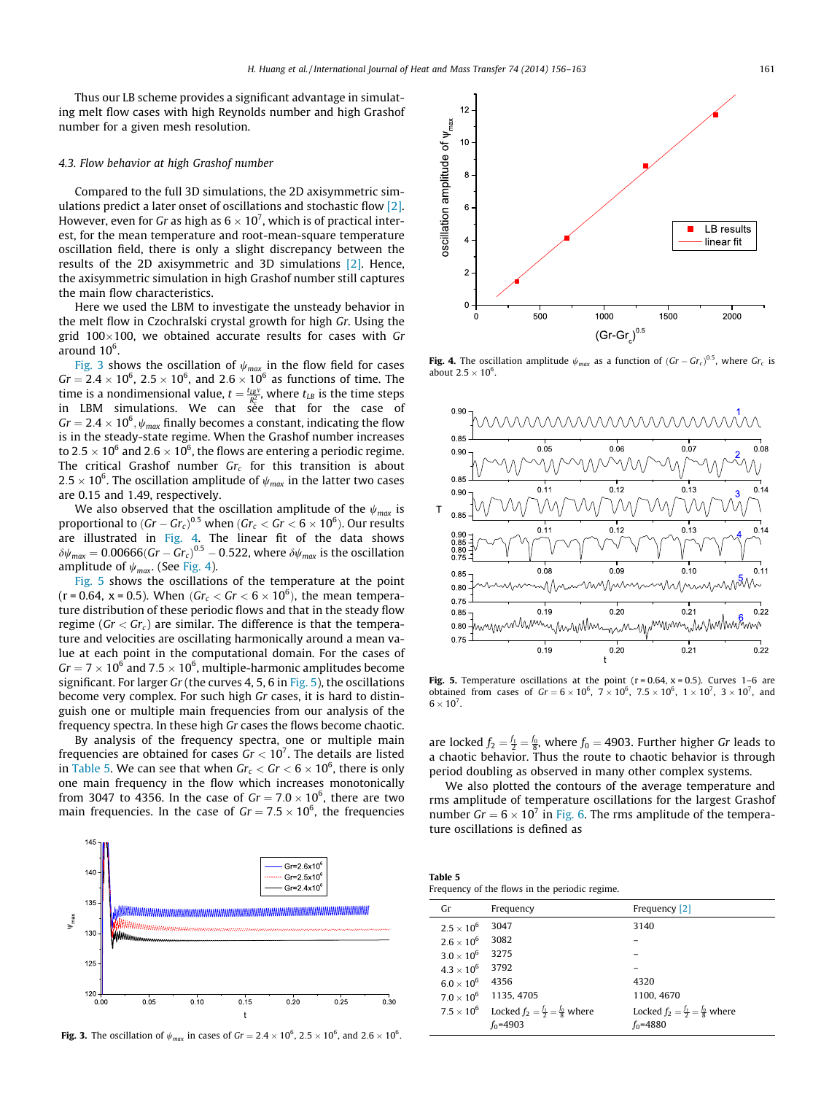Thus our LB scheme provides a significant advantage in simulating melt flow cases with high Reynolds number and high Grashof number for a given mesh resolution.

#### 4.3. Flow behavior at high Grashof number

Compared to the full 3D simulations, the 2D axisymmetric simulations predict a later onset of oscillations and stochastic flow [\[2\].](#page-6-0) However, even for Gr as high as 6  $\times$  10<sup>7</sup>, which is of practical interest, for the mean temperature and root-mean-square temperature oscillation field, there is only a slight discrepancy between the results of the 2D axisymmetric and 3D simulations [\[2\]](#page-6-0). Hence, the axisymmetric simulation in high Grashof number still captures the main flow characteristics.

Here we used the LBM to investigate the unsteady behavior in the melt flow in Czochralski crystal growth for high Gr. Using the grid 100 $\times$ 100, we obtained accurate results for cases with Gr around 10 $^6$ .

Fig. 3 shows the oscillation of  $\psi_{max}$  in the flow field for cases  $Gr = 2.4 \times 10^6$ ,  $2.5 \times 10^6$ , and  $2.6 \times 10^6$  as functions of time. The time is a nondimensional value,  $t = \frac{t_{LB}v}{R_c^2}$ , where  $t_{LB}$  is the time steps in LBM simulations. We can see that for the case of Gr  $=2.4\times10^6$  ,  $\psi_{max}$  finally becomes a constant, indicating the flow is in the steady-state regime. When the Grashof number increases to 2.5  $\times$  10 $^6$  and 2.6  $\times$  10 $^6$ , the flows are entering a periodic regime. The critical Grashof number  $Gr_c$  for this transition is about 2.5  $\times$  10 $^6$ . The oscillation amplitude of  $\psi_{\mathit{max}}$  in the latter two cases are 0.15 and 1.49, respectively.

We also observed that the oscillation amplitude of the  $\psi_{max}$  is proportional to  $(Gr - Gr_{c})^{0.5}$  when  $(Gr_{c} < Gr < 6 \times 10^{6}).$  Our results are illustrated in Fig. 4. The linear fit of the data shows  $\delta\psi_{\sf max} =$  0.00666(Gr – Gr $_{c})^{0.5}$  – 0.522, where  $\delta\psi_{\sf max}$  is the oscillation amplitude of  $\psi_{max}$ . (See Fig. 4).

Fig. 5 shows the oscillations of the temperature at the point (r = 0.64, x = 0.5). When (G $r_c <$  Gr  $<$  6  $\times$  10<sup>6</sup>), the mean temperature distribution of these periodic flows and that in the steady flow regime ( $Gr < Gr<sub>c</sub>$ ) are similar. The difference is that the temperature and velocities are oscillating harmonically around a mean value at each point in the computational domain. For the cases of Gr = 7  $\times$  10<sup>6</sup> and 7.5  $\times$  10<sup>6</sup>, multiple-harmonic amplitudes become significant. For larger Gr (the curves 4, 5, 6 in Fig. 5), the oscillations become very complex. For such high Gr cases, it is hard to distinguish one or multiple main frequencies from our analysis of the frequency spectra. In these high Gr cases the flows become chaotic.

By analysis of the frequency spectra, one or multiple main frequencies are obtained for cases  $Gr < 10^7$ . The details are listed in Table 5. We can see that when  $Gr_{c} < Gr < 6\times 10^{6},$  there is only one main frequency in the flow which increases monotonically from 3047 to 4356. In the case of G $r = 7.0 \times 10^6$ , there are two main frequencies. In the case of  $Gr = 7.5 \times 10^6$ , the frequencies



**Fig. 3.** The oscillation of  $\psi_{max}$  in cases of Gr = 2.4  $\times$  10<sup>6</sup>, 2.5  $\times$  10<sup>6</sup>, and 2.6  $\times$  10<sup>6</sup>.



**Fig. 4.** The oscillation amplitude  $\psi_{max}$  as a function of  $(Gr - Gr_c)^{0.5}$ , where  $Gr_c$  is about  $2.5 \times 10^6$ .



Fig. 5. Temperature oscillations at the point  $(r = 0.64, x = 0.5)$ . Curves 1-6 are obtained from cases of  $Gr = 6 \times 10^6$ ,  $7 \times 10^6$ ,  $7.5 \times 10^6$ ,  $1 \times 10^7$ ,  $3 \times 10^7$ , and  $6 \times 10^7$ .

are locked  $f_2 = \frac{f_1}{2} = \frac{f_0}{8}$ , where  $f_0 = 4903$ . Further higher Gr leads to a chaotic behavior. Thus the route to chaotic behavior is through period doubling as observed in many other complex systems.

We also plotted the contours of the average temperature and rms amplitude of temperature oscillations for the largest Grashof number  $Gr = 6 \times 10^7$  in [Fig. 6](#page-6-0). The rms amplitude of the temperature oscillations is defined as

| Table 5 |                                                |  |
|---------|------------------------------------------------|--|
|         | Frequency of the flows in the periodic regime. |  |

| Gr                  | Frequency                                          | Frequency [2]                                      |
|---------------------|----------------------------------------------------|----------------------------------------------------|
| $2.5 \times 10^6$   | 3047                                               | 3140                                               |
| $2.6 \times 10^6$   | 3082                                               |                                                    |
| $3.0 \times 10^{6}$ | 3275                                               |                                                    |
| $4.3 \times 10^{6}$ | 3792                                               |                                                    |
| $6.0 \times 10^6$   | 4356                                               | 4320                                               |
| $7.0 \times 10^{6}$ | 1135, 4705                                         | 1100, 4670                                         |
| $7.5 \times 10^{6}$ | Locked $f_2 = \frac{f_1}{2} = \frac{f_0}{8}$ where | Locked $f_2 = \frac{f_1}{2} = \frac{f_0}{8}$ where |
|                     | $f_0 = 4903$                                       | $f_0 = 4880$                                       |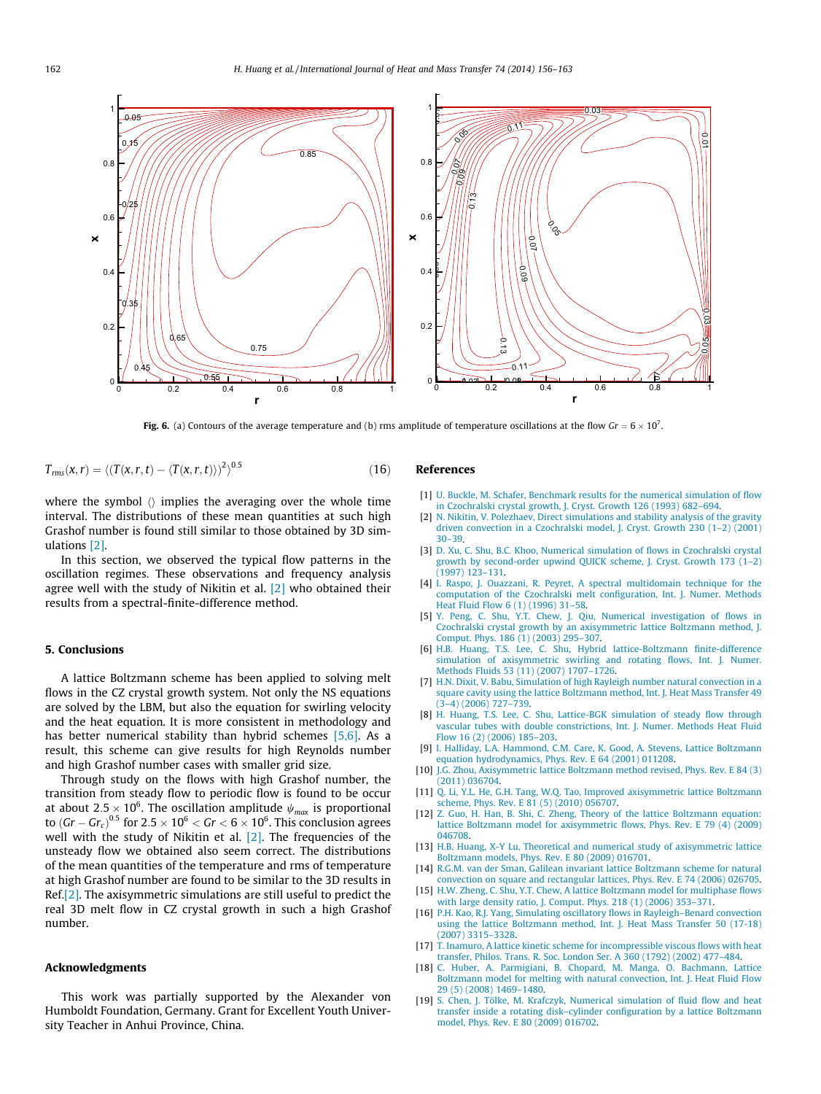<span id="page-6-0"></span>

**Fig. 6.** (a) Contours of the average temperature and (b) rms amplitude of temperature oscillations at the flow  $Gr = 6 \times 10^7$ .

$$
T_{rms}(x,r) = \langle (T(x,r,t) - \langle T(x,r,t) \rangle)^2 \rangle^{0.5}
$$
\n(16)

where the symbol  $\langle \rangle$  implies the averaging over the whole time interval. The distributions of these mean quantities at such high Grashof number is found still similar to those obtained by 3D simulations [2].

In this section, we observed the typical flow patterns in the oscillation regimes. These observations and frequency analysis agree well with the study of Nikitin et al. [2] who obtained their results from a spectral-finite-difference method.

# 5. Conclusions

A lattice Boltzmann scheme has been applied to solving melt flows in the CZ crystal growth system. Not only the NS equations are solved by the LBM, but also the equation for swirling velocity and the heat equation. It is more consistent in methodology and has better numerical stability than hybrid schemes [5,6]. As a result, this scheme can give results for high Reynolds number and high Grashof number cases with smaller grid size.

Through study on the flows with high Grashof number, the transition from steady flow to periodic flow is found to be occur at about 2.5  $\times$  10 $^6$ . The oscillation amplitude  $\psi_{\mathit{max}}$  is proportional to (Gr – Gr $_c$ ) $^{0.5}$  for 2.5  $\times$  10 $^{6}$   $<$  Gr  $<$  6  $\times$  10 $^{6}$ . This conclusion agrees well with the study of Nikitin et al. [2]. The frequencies of the unsteady flow we obtained also seem correct. The distributions of the mean quantities of the temperature and rms of temperature at high Grashof number are found to be similar to the 3D results in Ref.[2]. The axisymmetric simulations are still useful to predict the real 3D melt flow in CZ crystal growth in such a high Grashof number.

#### Acknowledgments

This work was partially supported by the Alexander von Humboldt Foundation, Germany. Grant for Excellent Youth University Teacher in Anhui Province, China.

## References

- [1] [U. Buckle, M. Schafer, Benchmark results for the numerical simulation of flow](http://refhub.elsevier.com/S0017-9310(14)00208-7/h0005) [in Czochralski crystal growth, J. Cryst. Growth 126 \(1993\) 682–694.](http://refhub.elsevier.com/S0017-9310(14)00208-7/h0005)
- [2] [N. Nikitin, V. Polezhaev, Direct simulations and stability analysis of the gravity](http://refhub.elsevier.com/S0017-9310(14)00208-7/h0010) [driven convection in a Czochralski model, J. Cryst. Growth 230 \(1–2\) \(2001\)](http://refhub.elsevier.com/S0017-9310(14)00208-7/h0010) [30–39.](http://refhub.elsevier.com/S0017-9310(14)00208-7/h0010)
- [3] [D. Xu, C. Shu, B.C. Khoo, Numerical simulation of flows in Czochralski crystal](http://refhub.elsevier.com/S0017-9310(14)00208-7/h0015) [growth by second-order upwind QUICK scheme, J. Cryst. Growth 173 \(1–2\)](http://refhub.elsevier.com/S0017-9310(14)00208-7/h0015) [\(1997\) 123–131.](http://refhub.elsevier.com/S0017-9310(14)00208-7/h0015)
- [4] [I. Raspo, J. Ouazzani, R. Peyret, A spectral multidomain technique for the](http://refhub.elsevier.com/S0017-9310(14)00208-7/h0020) [computation of the Czochralski melt configuration, Int. J. Numer. Methods](http://refhub.elsevier.com/S0017-9310(14)00208-7/h0020) [Heat Fluid Flow 6 \(1\) \(1996\) 31–58.](http://refhub.elsevier.com/S0017-9310(14)00208-7/h0020)
- [5] [Y. Peng, C. Shu, Y.T. Chew, J. Qiu, Numerical investigation of flows in](http://refhub.elsevier.com/S0017-9310(14)00208-7/h0025) [Czochralski crystal growth by an axisymmetric lattice Boltzmann method, J.](http://refhub.elsevier.com/S0017-9310(14)00208-7/h0025) [Comput. Phys. 186 \(1\) \(2003\) 295–307](http://refhub.elsevier.com/S0017-9310(14)00208-7/h0025).
- [6] [H.B. Huang, T.S. Lee, C. Shu, Hybrid lattice-Boltzmann finite-difference](http://refhub.elsevier.com/S0017-9310(14)00208-7/h0030) [simulation of axisymmetric swirling and rotating flows, Int. J. Numer.](http://refhub.elsevier.com/S0017-9310(14)00208-7/h0030) [Methods Fluids 53 \(11\) \(2007\) 1707–1726](http://refhub.elsevier.com/S0017-9310(14)00208-7/h0030).
- [7] [H.N. Dixit, V. Babu, Simulation of high Rayleigh number natural convection in a](http://refhub.elsevier.com/S0017-9310(14)00208-7/h0035) [square cavity using the lattice Boltzmann method, Int. J. Heat Mass Transfer 49](http://refhub.elsevier.com/S0017-9310(14)00208-7/h0035) [\(3–4\) \(2006\) 727–739.](http://refhub.elsevier.com/S0017-9310(14)00208-7/h0035)
- [8] [H. Huang, T.S. Lee, C. Shu, Lattice-BGK simulation of steady flow through](http://refhub.elsevier.com/S0017-9310(14)00208-7/h0040) [vascular tubes with double constrictions, Int. J. Numer. Methods Heat Fluid](http://refhub.elsevier.com/S0017-9310(14)00208-7/h0040) [Flow 16 \(2\) \(2006\) 185–203.](http://refhub.elsevier.com/S0017-9310(14)00208-7/h0040)
- [9] [I. Halliday, L.A. Hammond, C.M. Care, K. Good, A. Stevens, Lattice Boltzmann](http://refhub.elsevier.com/S0017-9310(14)00208-7/h0045) [equation hydrodynamics, Phys. Rev. E 64 \(2001\) 011208.](http://refhub.elsevier.com/S0017-9310(14)00208-7/h0045)
- [10] [J.G. Zhou, Axisymmetric lattice Boltzmann method revised, Phys. Rev. E 84 \(3\)](http://refhub.elsevier.com/S0017-9310(14)00208-7/h0050) [\(2011\) 036704](http://refhub.elsevier.com/S0017-9310(14)00208-7/h0050).
- [11] [Q. Li, Y.L. He, G.H. Tang, W.Q. Tao, Improved axisymmetric lattice Boltzmann](http://refhub.elsevier.com/S0017-9310(14)00208-7/h0055) [scheme, Phys. Rev. E 81 \(5\) \(2010\) 056707.](http://refhub.elsevier.com/S0017-9310(14)00208-7/h0055)
- [12] [Z. Guo, H. Han, B. Shi, C. Zheng, Theory of the lattice Boltzmann equation:](http://refhub.elsevier.com/S0017-9310(14)00208-7/h0060) [lattice Boltzmann model for axisymmetric flows, Phys. Rev. E 79 \(4\) \(2009\)](http://refhub.elsevier.com/S0017-9310(14)00208-7/h0060) [046708](http://refhub.elsevier.com/S0017-9310(14)00208-7/h0060).
- [13] [H.B. Huang, X-Y Lu, Theoretical and numerical study of axisymmetric lattice](http://refhub.elsevier.com/S0017-9310(14)00208-7/h0065) [Boltzmann models, Phys. Rev. E 80 \(2009\) 016701.](http://refhub.elsevier.com/S0017-9310(14)00208-7/h0065)
- [14] [R.G.M. van der Sman, Galilean invariant lattice Boltzmann scheme for natural](http://refhub.elsevier.com/S0017-9310(14)00208-7/h0070) [convection on square and rectangular lattices, Phys. Rev. E 74 \(2006\) 026705](http://refhub.elsevier.com/S0017-9310(14)00208-7/h0070).
- [15] [H.W. Zheng, C. Shu, Y.T. Chew, A lattice Boltzmann model for multiphase flows](http://refhub.elsevier.com/S0017-9310(14)00208-7/h0075) [with large density ratio, J. Comput. Phys. 218 \(1\) \(2006\) 353–371](http://refhub.elsevier.com/S0017-9310(14)00208-7/h0075).
- [16] [P.H. Kao, R.J. Yang, Simulating oscillatory flows in Rayleigh–Benard convection](http://refhub.elsevier.com/S0017-9310(14)00208-7/h0080) [using the lattice Boltzmann method, Int. J. Heat Mass Transfer 50 \(17-18\)](http://refhub.elsevier.com/S0017-9310(14)00208-7/h0080) [\(2007\) 3315–3328.](http://refhub.elsevier.com/S0017-9310(14)00208-7/h0080)
- [17] [T. Inamuro, A lattice kinetic scheme for incompressible viscous flows with heat](http://refhub.elsevier.com/S0017-9310(14)00208-7/h0085) [transfer, Philos. Trans. R. Soc. London Ser. A 360 \(1792\) \(2002\) 477–484](http://refhub.elsevier.com/S0017-9310(14)00208-7/h0085).
- [18] [C. Huber, A. Parmigiani, B. Chopard, M. Manga, O. Bachmann, Lattice](http://refhub.elsevier.com/S0017-9310(14)00208-7/h0090) [Boltzmann model for melting with natural convection, Int. J. Heat Fluid Flow](http://refhub.elsevier.com/S0017-9310(14)00208-7/h0090) [29 \(5\) \(2008\) 1469–1480](http://refhub.elsevier.com/S0017-9310(14)00208-7/h0090).
- [19] [S. Chen, J. Tölke, M. Krafczyk, Numerical simulation of fluid flow and heat](http://refhub.elsevier.com/S0017-9310(14)00208-7/h0095) [transfer inside a rotating disk–cylinder configuration by a lattice Boltzmann](http://refhub.elsevier.com/S0017-9310(14)00208-7/h0095) [model, Phys. Rev. E 80 \(2009\) 016702.](http://refhub.elsevier.com/S0017-9310(14)00208-7/h0095)